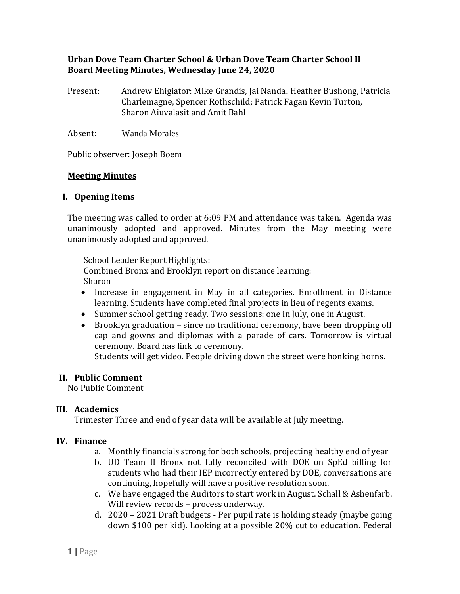### **Urban Dove Team Charter School & Urban Dove Team Charter School II Board Meeting Minutes, Wednesday June 24, 2020**

- Present: Andrew Ehigiator: Mike Grandis, Jai Nanda, Heather Bushong, Patricia Charlemagne, Spencer Rothschild; Patrick Fagan Kevin Turton, Sharon Aiuvalasit and Amit Bahl
- Absent: Wanda Morales

Public observer: Joseph Boem

#### **Meeting Minutes**

#### **I. Opening Items**

The meeting was called to order at 6:09 PM and attendance was taken. Agenda was unanimously adopted and approved. Minutes from the May meeting were unanimously adopted and approved.

School Leader Report Highlights:

Combined Bronx and Brooklyn report on distance learning: Sharon

- Increase in engagement in May in all categories. Enrollment in Distance learning. Students have completed final projects in lieu of regents exams.
- Summer school getting ready. Two sessions: one in July, one in August.
- Brooklyn graduation since no traditional ceremony, have been dropping off cap and gowns and diplomas with a parade of cars. Tomorrow is virtual ceremony. Board has link to ceremony.

Students will get video. People driving down the street were honking horns.

#### **II. Public Comment**

No Public Comment

## **III. Academics**

Trimester Three and end of year data will be available at July meeting.

## **IV. Finance**

- a. Monthly financials strong for both schools, projecting healthy end of year
- b. UD Team II Bronx not fully reconciled with DOE on SpEd billing for students who had their IEP incorrectly entered by DOE, conversations are continuing, hopefully will have a positive resolution soon.
- c. We have engaged the Auditors to start work in August. Schall & Ashenfarb. Will review records - process underway.
- d. 2020 2021 Draft budgets Per pupil rate is holding steady (maybe going down \$100 per kid). Looking at a possible 20% cut to education. Federal